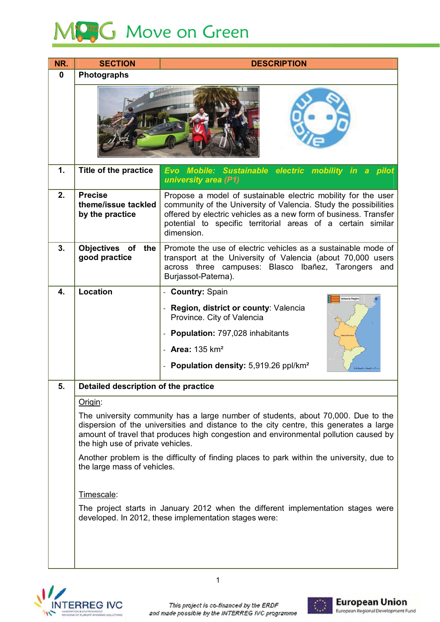## MC<sub>3</sub>G Move on Green

| NR.          | <b>SECTION</b>                                           | <b>DESCRIPTION</b>                                                                                                                                                                                                                                                                                                                                                                                    |  |  |  |  |  |  |
|--------------|----------------------------------------------------------|-------------------------------------------------------------------------------------------------------------------------------------------------------------------------------------------------------------------------------------------------------------------------------------------------------------------------------------------------------------------------------------------------------|--|--|--|--|--|--|
| $\mathbf{0}$ | <b>Photographs</b>                                       |                                                                                                                                                                                                                                                                                                                                                                                                       |  |  |  |  |  |  |
|              |                                                          |                                                                                                                                                                                                                                                                                                                                                                                                       |  |  |  |  |  |  |
| 1.           | Title of the practice                                    | Evo Mobile: Sustainable electric mobility in<br>a pilot<br>university area (P1)                                                                                                                                                                                                                                                                                                                       |  |  |  |  |  |  |
| 2.           | <b>Precise</b><br>theme/issue tackled<br>by the practice | Propose a model of sustainable electric mobility for the user<br>community of the University of Valencia. Study the possibilities<br>offered by electric vehicles as a new form of business. Transfer<br>potential to specific territorial areas of a certain similar<br>dimension.                                                                                                                   |  |  |  |  |  |  |
| 3.           | Objectives of<br>the<br>good practice                    | Promote the use of electric vehicles as a sustainable mode of<br>transport at the University of Valencia (about 70,000 users<br>across three campuses: Blasco Ibañez, Tarongers and<br>Burjassot-Paterna).                                                                                                                                                                                            |  |  |  |  |  |  |
| 4.           | <b>Location</b>                                          | - Country: Spain                                                                                                                                                                                                                                                                                                                                                                                      |  |  |  |  |  |  |
|              |                                                          | Region, district or county: Valencia<br>Province. City of Valencia<br>Population: 797,028 inhabitants<br>- Area: $135 \text{ km}^2$<br>- Population density: 5,919.26 ppl/km <sup>2</sup>                                                                                                                                                                                                             |  |  |  |  |  |  |
| 5            | Detailed description of the practice                     |                                                                                                                                                                                                                                                                                                                                                                                                       |  |  |  |  |  |  |
|              | Origin:                                                  |                                                                                                                                                                                                                                                                                                                                                                                                       |  |  |  |  |  |  |
|              | the large mass of vehicles.                              | The university community has a large number of students, about 70,000. Due to the<br>dispersion of the universities and distance to the city centre, this generates a large<br>amount of travel that produces high congestion and environmental pollution caused by<br>the high use of private vehicles.<br>Another problem is the difficulty of finding places to park within the university, due to |  |  |  |  |  |  |
|              | Timescale:                                               |                                                                                                                                                                                                                                                                                                                                                                                                       |  |  |  |  |  |  |
|              |                                                          | The project starts in January 2012 when the different implementation stages were<br>developed. In 2012, these implementation stages were:                                                                                                                                                                                                                                                             |  |  |  |  |  |  |
|              |                                                          |                                                                                                                                                                                                                                                                                                                                                                                                       |  |  |  |  |  |  |



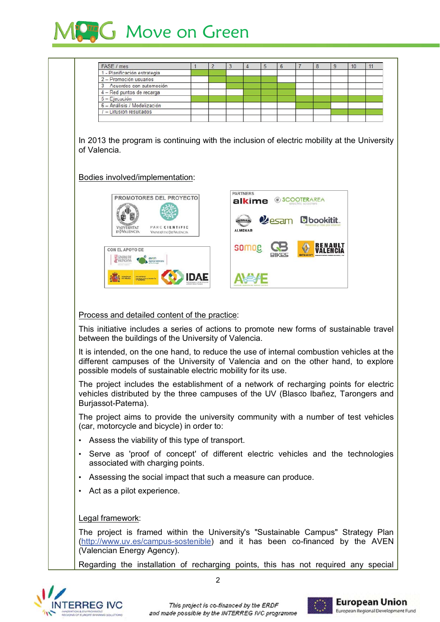

| FASE / mes                                                                                                                                                                                                                                       | 1    | $\overline{2}$ | 3 | $\overline{4}$                              | 5 | 6                                  |  | 8                  | 9 | 10 | 11 |
|--------------------------------------------------------------------------------------------------------------------------------------------------------------------------------------------------------------------------------------------------|------|----------------|---|---------------------------------------------|---|------------------------------------|--|--------------------|---|----|----|
| 1 - Planificación estrategia                                                                                                                                                                                                                     |      |                |   |                                             |   |                                    |  |                    |   |    |    |
| 2 - Promoción usuarios                                                                                                                                                                                                                           |      |                |   |                                             |   |                                    |  |                    |   |    |    |
| 3 - Acuerdos con automoción                                                                                                                                                                                                                      |      |                |   |                                             |   |                                    |  |                    |   |    |    |
| 4 - Red puntos de recarga                                                                                                                                                                                                                        |      |                |   |                                             |   |                                    |  |                    |   |    |    |
| 5 - Ejecución                                                                                                                                                                                                                                    |      |                |   |                                             |   |                                    |  |                    |   |    |    |
| 6 - Análisis / Modelización                                                                                                                                                                                                                      |      |                |   |                                             |   |                                    |  |                    |   |    |    |
| 7 - Difusión resultados                                                                                                                                                                                                                          |      |                |   |                                             |   |                                    |  |                    |   |    |    |
| In 2013 the program is continuing with the inclusion of electric mobility at the University<br>of Valencia.                                                                                                                                      |      |                |   |                                             |   |                                    |  |                    |   |    |    |
| Bodies involved/implementation:<br>PROMOTORES DEL PROYECTO<br>PARC CIENTIFIC<br><b>VNIVERMTAT</b><br>idō València<br><b>VNIVERSITATO ID VALENCIA</b>                                                                                             |      |                |   | <b>PARTNERS</b><br>alkime<br><b>ALMENAR</b> |   | <b><i>SCOOTERAREA</i></b><br>kesam |  | <b>b</b> bookitit. |   |    |    |
| CON EL APOYO DE<br>e<br><b>GENERALITA</b><br>VALENCIANA<br>aven<br>Process and detailed content of the practice:                                                                                                                                 | IDAE |                |   | somoe                                       |   |                                    |  |                    |   |    |    |
|                                                                                                                                                                                                                                                  |      |                |   |                                             |   |                                    |  |                    |   |    |    |
| This initiative includes a series of actions to promote new forms of sustainable travel<br>between the buildings of the University of Valencia.                                                                                                  |      |                |   |                                             |   |                                    |  |                    |   |    |    |
| It is intended, on the one hand, to reduce the use of internal combustion vehicles at the<br>different campuses of the University of Valencia and on the other hand, to explore<br>possible models of sustainable electric mobility for its use. |      |                |   |                                             |   |                                    |  |                    |   |    |    |
| The project includes the establishment of a network of recharging points for electric<br>vehicles distributed by the three campuses of the UV (Blasco Ibañez, Tarongers and<br>Burjassot-Paterna).                                               |      |                |   |                                             |   |                                    |  |                    |   |    |    |
| The project aims to provide the university community with a number of test vehicles<br>(car, motorcycle and bicycle) in order to:                                                                                                                |      |                |   |                                             |   |                                    |  |                    |   |    |    |
| Assess the viability of this type of transport.                                                                                                                                                                                                  |      |                |   |                                             |   |                                    |  |                    |   |    |    |
| Serve as 'proof of concept' of different electric vehicles and the technologies<br>$\bullet$<br>associated with charging points.                                                                                                                 |      |                |   |                                             |   |                                    |  |                    |   |    |    |
|                                                                                                                                                                                                                                                  |      |                |   |                                             |   |                                    |  |                    |   |    |    |
| Assessing the social impact that such a measure can produce.                                                                                                                                                                                     |      |                |   |                                             |   |                                    |  |                    |   |    |    |

## Legal framework:

The project is framed within the University's "Sustainable Campus" Strategy Plan (http://www.uv.es/campus-sostenible) and it has been co-financed by the AVEN (Valencian Energy Agency).

Regarding the installation of recharging points, this has not required any special